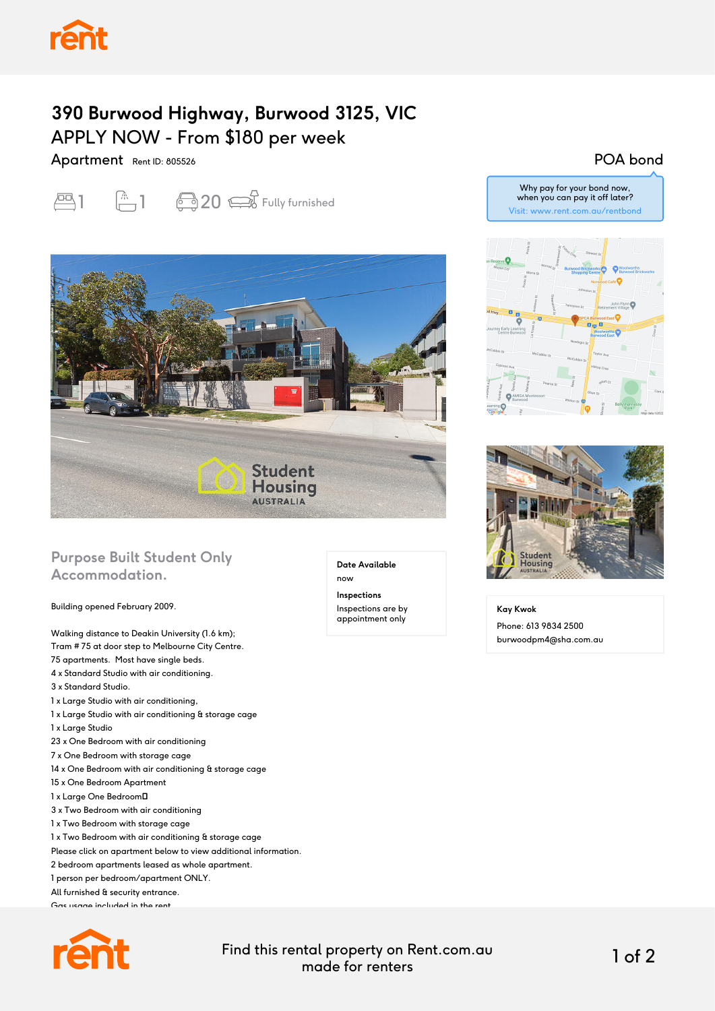## **390 Burwood Highway, Burwood 3125, VIC** APPLY NOW - From \$180 per week

Apartment Rent ID: 805526





## **Purpose Built Student Only Accommodation.**

Building opened February 2009.

Walking distance to Deakin University (1.6 km); Tram # 75 at door step to Melbourne City Centre. 75 apartments. Most have single beds. 4 x Standard Studio with air conditioning. 3 x Standard Studio. 1 x Large Studio with air conditioning, 1 x Large Studio with air conditioning & storage cage 1 x Large Studio 23 x One Bedroom with air conditioning 7 x One Bedroom with storage cage 14 x One Bedroom with air conditioning & storage cage 15 x One Bedroom Apartment 1 x Large One Bedroom 3 x Two Bedroom with air conditioning 1 x Two Bedroom with storage cage 1 x Two Bedroom with air conditioning & storage cage Please click on apartment below to view additional information. 2 bedroom apartments leased as whole apartment. 1 person per bedroom/apartment ONLY. All furnished & security entrance. Gas usage included in the rent.



**Date Available**

now

**Inspections** Inspections are by appointment only

## POA bond







**Kay Kwok** Phone: 613 9834 2500 burwoodpm4@sha.com.au

Find this rental property on Rent.com.au made for renters 1 of 2